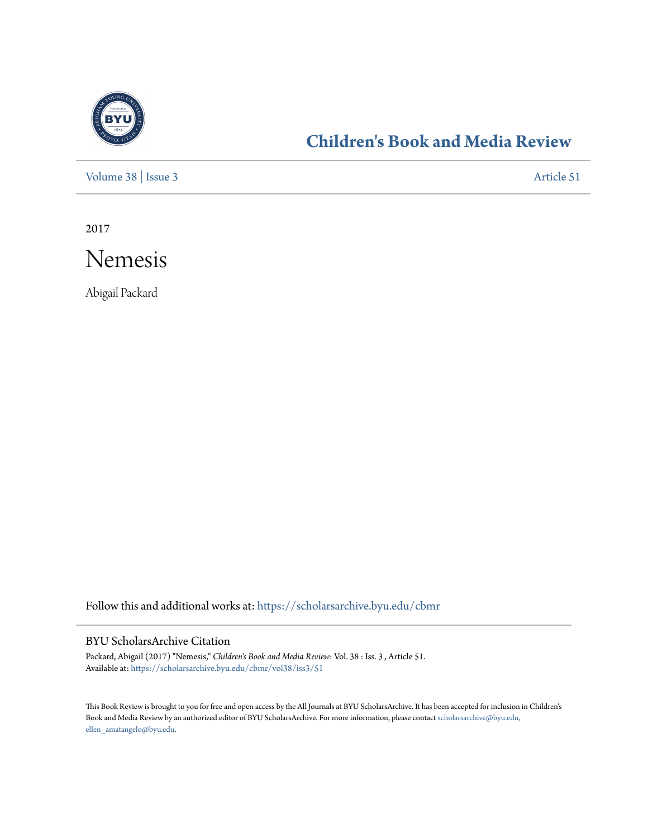

## **[Children's Book and Media Review](https://scholarsarchive.byu.edu/cbmr?utm_source=scholarsarchive.byu.edu%2Fcbmr%2Fvol38%2Fiss3%2F51&utm_medium=PDF&utm_campaign=PDFCoverPages)**

[Volume 38](https://scholarsarchive.byu.edu/cbmr/vol38?utm_source=scholarsarchive.byu.edu%2Fcbmr%2Fvol38%2Fiss3%2F51&utm_medium=PDF&utm_campaign=PDFCoverPages) | [Issue 3](https://scholarsarchive.byu.edu/cbmr/vol38/iss3?utm_source=scholarsarchive.byu.edu%2Fcbmr%2Fvol38%2Fiss3%2F51&utm_medium=PDF&utm_campaign=PDFCoverPages) [Article 51](https://scholarsarchive.byu.edu/cbmr/vol38/iss3/51?utm_source=scholarsarchive.byu.edu%2Fcbmr%2Fvol38%2Fiss3%2F51&utm_medium=PDF&utm_campaign=PDFCoverPages)

2017



Abigail Packard

Follow this and additional works at: [https://scholarsarchive.byu.edu/cbmr](https://scholarsarchive.byu.edu/cbmr?utm_source=scholarsarchive.byu.edu%2Fcbmr%2Fvol38%2Fiss3%2F51&utm_medium=PDF&utm_campaign=PDFCoverPages)

## BYU ScholarsArchive Citation

Packard, Abigail (2017) "Nemesis," *Children's Book and Media Review*: Vol. 38 : Iss. 3 , Article 51. Available at: [https://scholarsarchive.byu.edu/cbmr/vol38/iss3/51](https://scholarsarchive.byu.edu/cbmr/vol38/iss3/51?utm_source=scholarsarchive.byu.edu%2Fcbmr%2Fvol38%2Fiss3%2F51&utm_medium=PDF&utm_campaign=PDFCoverPages)

This Book Review is brought to you for free and open access by the All Journals at BYU ScholarsArchive. It has been accepted for inclusion in Children's Book and Media Review by an authorized editor of BYU ScholarsArchive. For more information, please contact [scholarsarchive@byu.edu,](mailto:scholarsarchive@byu.edu,%20ellen_amatangelo@byu.edu) [ellen\\_amatangelo@byu.edu.](mailto:scholarsarchive@byu.edu,%20ellen_amatangelo@byu.edu)